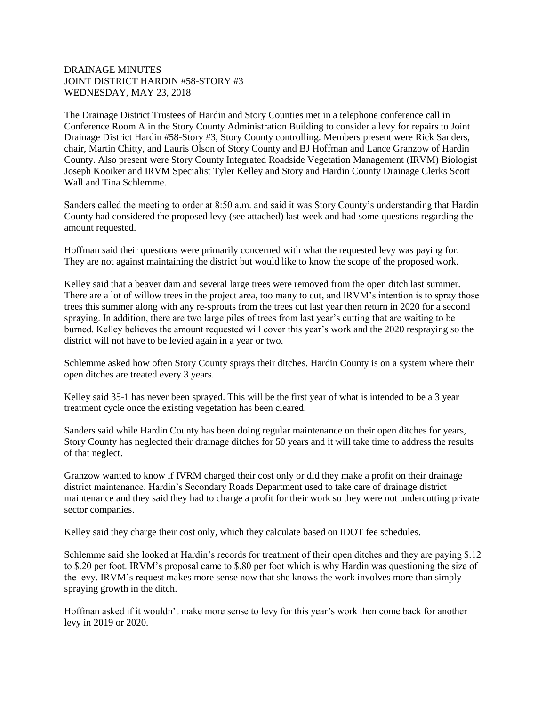## DRAINAGE MINUTES JOINT DISTRICT HARDIN #58-STORY #3 WEDNESDAY, MAY 23, 2018

The Drainage District Trustees of Hardin and Story Counties met in a telephone conference call in Conference Room A in the Story County Administration Building to consider a levy for repairs to Joint Drainage District Hardin #58-Story #3, Story County controlling. Members present were Rick Sanders, chair, Martin Chitty, and Lauris Olson of Story County and BJ Hoffman and Lance Granzow of Hardin County. Also present were Story County Integrated Roadside Vegetation Management (IRVM) Biologist Joseph Kooiker and IRVM Specialist Tyler Kelley and Story and Hardin County Drainage Clerks Scott Wall and Tina Schlemme.

Sanders called the meeting to order at 8:50 a.m. and said it was Story County's understanding that Hardin County had considered the proposed levy (see attached) last week and had some questions regarding the amount requested.

Hoffman said their questions were primarily concerned with what the requested levy was paying for. They are not against maintaining the district but would like to know the scope of the proposed work.

Kelley said that a beaver dam and several large trees were removed from the open ditch last summer. There are a lot of willow trees in the project area, too many to cut, and IRVM's intention is to spray those trees this summer along with any re-sprouts from the trees cut last year then return in 2020 for a second spraying. In addition, there are two large piles of trees from last year's cutting that are waiting to be burned. Kelley believes the amount requested will cover this year's work and the 2020 respraying so the district will not have to be levied again in a year or two.

Schlemme asked how often Story County sprays their ditches. Hardin County is on a system where their open ditches are treated every 3 years.

Kelley said 35-1 has never been sprayed. This will be the first year of what is intended to be a 3 year treatment cycle once the existing vegetation has been cleared.

Sanders said while Hardin County has been doing regular maintenance on their open ditches for years, Story County has neglected their drainage ditches for 50 years and it will take time to address the results of that neglect.

Granzow wanted to know if IVRM charged their cost only or did they make a profit on their drainage district maintenance. Hardin's Secondary Roads Department used to take care of drainage district maintenance and they said they had to charge a profit for their work so they were not undercutting private sector companies.

Kelley said they charge their cost only, which they calculate based on IDOT fee schedules.

Schlemme said she looked at Hardin's records for treatment of their open ditches and they are paying \$.12 to \$.20 per foot. IRVM's proposal came to \$.80 per foot which is why Hardin was questioning the size of the levy. IRVM's request makes more sense now that she knows the work involves more than simply spraying growth in the ditch.

Hoffman asked if it wouldn't make more sense to levy for this year's work then come back for another levy in 2019 or 2020.